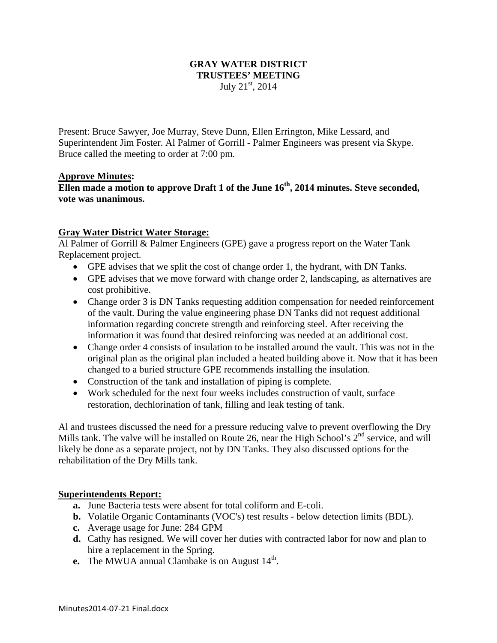#### **GRAY WATER DISTRICT TRUSTEES' MEETING**  July  $21^{st}$ ,  $2014$

Present: Bruce Sawyer, Joe Murray, Steve Dunn, Ellen Errington, Mike Lessard, and Superintendent Jim Foster. Al Palmer of Gorrill - Palmer Engineers was present via Skype. Bruce called the meeting to order at 7:00 pm.

## **Approve Minutes:**

**Ellen made a motion to approve Draft 1 of the June 16th, 2014 minutes. Steve seconded, vote was unanimous.** 

## **Gray Water District Water Storage:**

Al Palmer of Gorrill & Palmer Engineers (GPE) gave a progress report on the Water Tank Replacement project.

- GPE advises that we split the cost of change order 1, the hydrant, with DN Tanks.
- GPE advises that we move forward with change order 2, landscaping, as alternatives are cost prohibitive.
- Change order 3 is DN Tanks requesting addition compensation for needed reinforcement of the vault. During the value engineering phase DN Tanks did not request additional information regarding concrete strength and reinforcing steel. After receiving the information it was found that desired reinforcing was needed at an additional cost.
- Change order 4 consists of insulation to be installed around the vault. This was not in the original plan as the original plan included a heated building above it. Now that it has been changed to a buried structure GPE recommends installing the insulation.
- Construction of the tank and installation of piping is complete.
- Work scheduled for the next four weeks includes construction of vault, surface restoration, dechlorination of tank, filling and leak testing of tank.

Al and trustees discussed the need for a pressure reducing valve to prevent overflowing the Dry Mills tank. The valve will be installed on Route 26, near the High School's  $2<sup>nd</sup>$  service, and will likely be done as a separate project, not by DN Tanks. They also discussed options for the rehabilitation of the Dry Mills tank.

#### **Superintendents Report:**

- **a.** June Bacteria tests were absent for total coliform and E-coli.
- **b.** Volatile Organic Contaminants (VOC's) test results below detection limits (BDL).
- **c.** Average usage for June: 284 GPM
- **d.** Cathy has resigned. We will cover her duties with contracted labor for now and plan to hire a replacement in the Spring.
- **e.** The MWUA annual Clambake is on August  $14<sup>th</sup>$ .